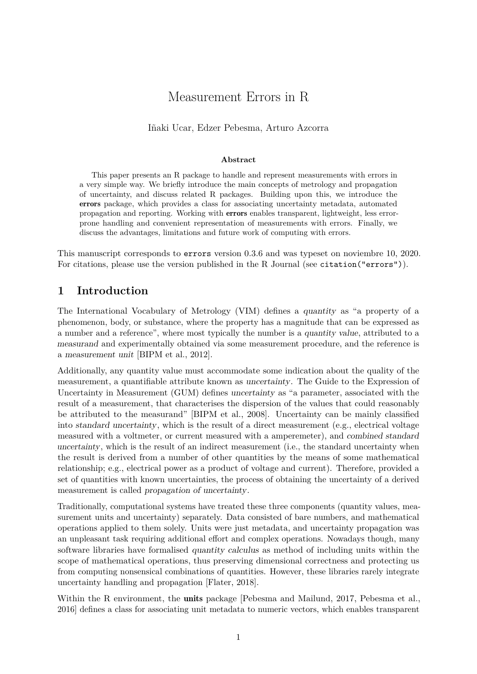# Measurement Errors in R

Iñaki Ucar, Edzer Pebesma, Arturo Azcorra

#### **Abstract**

This paper presents an R package to handle and represent measurements with errors in a very simple way. We briefly introduce the main concepts of metrology and propagation of uncertainty, and discuss related R packages. Building upon this, we introduce the errors package, which provides a class for associating uncertainty metadata, automated propagation and reporting. Working with errors enables transparent, lightweight, less errorprone handling and convenient representation of measurements with errors. Finally, we discuss the advantages, limitations and future work of computing with errors.

This manuscript corresponds to errors version 0.3.6 and was typeset on noviembre 10, 2020. For citations, please use the version published in the R Journal (see citation("errors")).

# **1 Introduction**

The International Vocabulary of Metrology (VIM) defines a quantity as "a property of a phenomenon, body, or substance, where the property has a magnitude that can be expressed as a number and a reference", where most typically the number is a quantity value, attributed to a measurand and experimentally obtained via some measurement procedure, and the reference is a measurement unit [\[BIPM et al., 2012\]](#page-9-0).

Additionally, any quantity value must accommodate some indication about the quality of the measurement, a quantifiable attribute known as uncertainty. The Guide to the Expression of Uncertainty in Measurement (GUM) defines uncertainty as "a parameter, associated with the result of a measurement, that characterises the dispersion of the values that could reasonably be attributed to the measurand" [\[BIPM et al., 2008\]](#page-9-1). Uncertainty can be mainly classified into standard uncertainty, which is the result of a direct measurement (e.g., electrical voltage measured with a voltmeter, or current measured with a amperemeter), and combined standard uncertainty, which is the result of an indirect measurement (i.e., the standard uncertainty when the result is derived from a number of other quantities by the means of some mathematical relationship; e.g., electrical power as a product of voltage and current). Therefore, provided a set of quantities with known uncertainties, the process of obtaining the uncertainty of a derived measurement is called propagation of uncertainty.

Traditionally, computational systems have treated these three components (quantity values, measurement units and uncertainty) separately. Data consisted of bare numbers, and mathematical operations applied to them solely. Units were just metadata, and uncertainty propagation was an unpleasant task requiring additional effort and complex operations. Nowadays though, many software libraries have formalised quantity calculus as method of including units within the scope of mathematical operations, thus preserving dimensional correctness and protecting us from computing nonsensical combinations of quantities. However, these libraries rarely integrate uncertainty handling and propagation [\[Flater, 2018\]](#page-9-2).

Within the R environment, the **[units](https://CRAN.R-project.org/package=units)** package [\[Pebesma and Mailund, 2017,](#page-10-0) [Pebesma et al.,](#page-10-1) [2016\]](#page-10-1) defines a class for associating unit metadata to numeric vectors, which enables transparent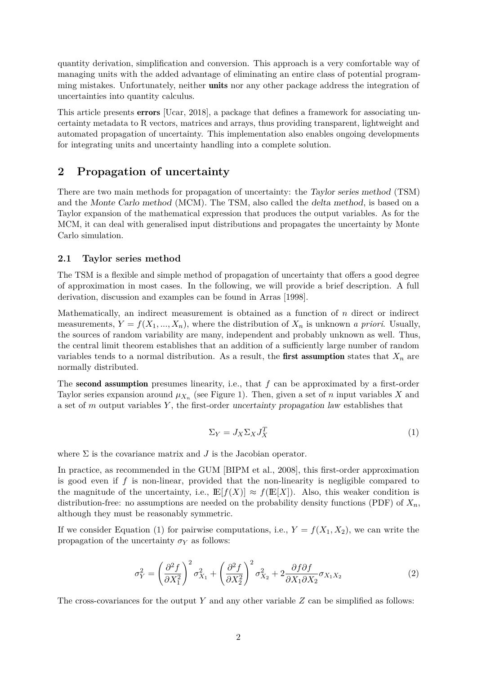quantity derivation, simplification and conversion. This approach is a very comfortable way of managing units with the added advantage of eliminating an entire class of potential programming mistakes. Unfortunately, neither **units** nor any other package address the integration of uncertainties into quantity calculus.

This article presents [errors](https://CRAN.R-project.org/package=errors) [\[Ucar, 2018\]](#page-10-2), a package that defines a framework for associating uncertainty metadata to R vectors, matrices and arrays, thus providing transparent, lightweight and automated propagation of uncertainty. This implementation also enables ongoing developments for integrating units and uncertainty handling into a complete solution.

## **2 Propagation of uncertainty**

There are two main methods for propagation of uncertainty: the Taylor series method (TSM) and the Monte Carlo method (MCM). The TSM, also called the delta method, is based on a Taylor expansion of the mathematical expression that produces the output variables. As for the MCM, it can deal with generalised input distributions and propagates the uncertainty by Monte Carlo simulation.

#### **2.1 Taylor series method**

The TSM is a flexible and simple method of propagation of uncertainty that offers a good degree of approximation in most cases. In the following, we will provide a brief description. A full derivation, discussion and examples can be found in [Arras \[1998\]](#page-9-3).

Mathematically, an indirect measurement is obtained as a function of *n* direct or indirect measurements,  $Y = f(X_1, ..., X_n)$ , where the distribution of  $X_n$  is unknown *a priori*. Usually, the sources of random variability are many, independent and probably unknown as well. Thus, the central limit theorem establishes that an addition of a sufficiently large number of random variables tends to a normal distribution. As a result, the **first assumption** states that  $X_n$  are normally distributed.

The second assumption presumes linearity, i.e., that *f* can be approximated by a first-order Taylor series expansion around  $\mu_{X_n}$  (see Figure [1\)](#page-2-0). Then, given a set of *n* input variables X and a set of *m* output variables *Y* , the first-order uncertainty propagation law establishes that

<span id="page-1-0"></span>
$$
\Sigma_Y = J_X \Sigma_X J_X^T \tag{1}
$$

where  $\Sigma$  is the covariance matrix and  $J$  is the Jacobian operator.

In practice, as recommended in the GUM [\[BIPM et al., 2008\]](#page-9-1), this first-order approximation is good even if *f* is non-linear, provided that the non-linearity is negligible compared to the magnitude of the uncertainty, i.e.,  $\mathbb{E}[f(X)] \approx f(\mathbb{E}[X])$ . Also, this weaker condition is distribution-free: no assumptions are needed on the probability density functions (PDF) of  $X_n$ , although they must be reasonably symmetric.

If we consider Equation [\(1\)](#page-1-0) for pairwise computations, i.e.,  $Y = f(X_1, X_2)$ , we can write the propagation of the uncertainty  $\sigma_Y$  as follows:

<span id="page-1-1"></span>
$$
\sigma_Y^2 = \left(\frac{\partial^2 f}{\partial X_1^2}\right)^2 \sigma_{X_1}^2 + \left(\frac{\partial^2 f}{\partial X_2^2}\right)^2 \sigma_{X_2}^2 + 2\frac{\partial f \partial f}{\partial X_1 \partial X_2} \sigma_{X_1 X_2}
$$
\n(2)

The cross-covariances for the output *Y* and any other variable *Z* can be simplified as follows: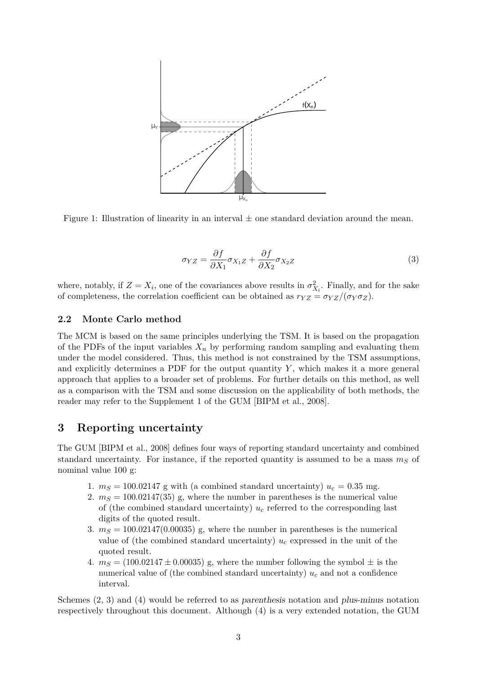<span id="page-2-0"></span>

Figure 1: Illustration of linearity in an interval  $\pm$  one standard deviation around the mean.

<span id="page-2-1"></span>
$$
\sigma_{YZ} = \frac{\partial f}{\partial X_1} \sigma_{X_1 Z} + \frac{\partial f}{\partial X_2} \sigma_{X_2 Z} \tag{3}
$$

where, notably, if  $Z = X_i$ , one of the covariances above results in  $\sigma_X^2$  $X_i$ . Finally, and for the sake of completeness, the correlation coefficient can be obtained as  $r_{YZ} = \sigma_{YZ}/(\sigma_Y \sigma_Z)$ .

#### **2.2 Monte Carlo method**

The MCM is based on the same principles underlying the TSM. It is based on the propagation of the PDFs of the input variables  $X_n$  by performing random sampling and evaluating them under the model considered. Thus, this method is not constrained by the TSM assumptions, and explicitly determines a PDF for the output quantity  $Y$ , which makes it a more general approach that applies to a broader set of problems. For further details on this method, as well as a comparison with the TSM and some discussion on the applicability of both methods, the reader may refer to the Supplement 1 of the GUM [\[BIPM et al., 2008\]](#page-9-1).

## **3 Reporting uncertainty**

The GUM [\[BIPM et al., 2008\]](#page-9-1) defines four ways of reporting standard uncertainty and combined standard uncertainty. For instance, if the reported quantity is assumed to be a mass  $m<sub>S</sub>$  of nominal value 100 g:

- 1.  $m<sub>S</sub> = 100.02147$  g with (a combined standard uncertainty)  $u<sub>c</sub> = 0.35$  mg.
- 2.  $m<sub>S</sub> = 100.02147(35)$  g, where the number in parentheses is the numerical value of (the combined standard uncertainty)  $u_c$  referred to the corresponding last digits of the quoted result.
- 3.  $m<sub>S</sub> = 100.02147(0.00035)$  g, where the number in parentheses is the numerical value of (the combined standard uncertainty)  $u_c$  expressed in the unit of the quoted result.
- 4.  $m<sub>S</sub> = (100.02147 \pm 0.00035)$  g, where the number following the symbol  $\pm$  is the numerical value of (the combined standard uncertainty)  $u_c$  and not a confidence interval.

Schemes (2, 3) and (4) would be referred to as parenthesis notation and plus-minus notation respectively throughout this document. Although (4) is a very extended notation, the GUM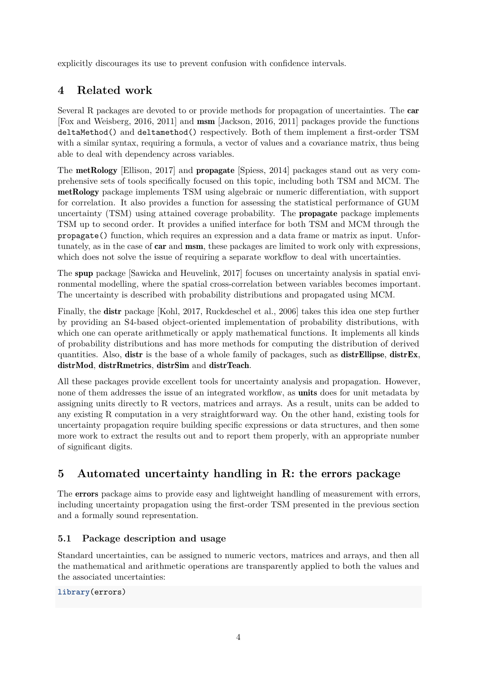explicitly discourages its use to prevent confusion with confidence intervals.

# **4 Related work**

Several R packages are devoted to or provide methods for propagation of uncertainties. The [car](https://CRAN.R-project.org/package=car) [\[Fox and Weisberg, 2016,](#page-9-4) [2011\]](#page-9-5) and [msm](https://CRAN.R-project.org/package=msm) [\[Jackson, 2016,](#page-9-6) [2011\]](#page-9-7) packages provide the functions deltaMethod() and deltamethod() respectively. Both of them implement a first-order TSM with a similar syntax, requiring a formula, a vector of values and a covariance matrix, thus being able to deal with dependency across variables.

The [metRology](https://CRAN.R-project.org/package=metRology) [\[Ellison, 2017\]](#page-9-8) and [propagate](https://CRAN.R-project.org/package=propagate) [\[Spiess, 2014\]](#page-10-3) packages stand out as very comprehensive sets of tools specifically focused on this topic, including both TSM and MCM. The metRology package implements TSM using algebraic or numeric differentiation, with support for correlation. It also provides a function for assessing the statistical performance of GUM uncertainty (TSM) using attained coverage probability. The propagate package implements TSM up to second order. It provides a unified interface for both TSM and MCM through the propagate() function, which requires an expression and a data frame or matrix as input. Unfortunately, as in the case of car and msm, these packages are limited to work only with expressions, which does not solve the issue of requiring a separate workflow to deal with uncertainties.

The [spup](https://CRAN.R-project.org/package=spup) package [\[Sawicka and Heuvelink, 2017\]](#page-10-4) focuses on uncertainty analysis in spatial environmental modelling, where the spatial cross-correlation between variables becomes important. The uncertainty is described with probability distributions and propagated using MCM.

Finally, the [distr](https://CRAN.R-project.org/package=distr) package [\[Kohl, 2017,](#page-9-9) [Ruckdeschel et al., 2006\]](#page-10-5) takes this idea one step further by providing an S4-based object-oriented implementation of probability distributions, with which one can operate arithmetically or apply mathematical functions. It implements all kinds of probability distributions and has more methods for computing the distribution of derived quantities. Also, distr is the base of a whole family of packages, such as [distrEllipse](https://CRAN.R-project.org/package=distrEllipse), [distrEx](https://CRAN.R-project.org/package=distrEx), [distrMod](https://CRAN.R-project.org/package=distrMod), [distrRmetrics](https://CRAN.R-project.org/package=distrRmetrics), [distrSim](https://CRAN.R-project.org/package=distrSim) and [distrTeach](https://CRAN.R-project.org/package=distrTeach).

All these packages provide excellent tools for uncertainty analysis and propagation. However, none of them addresses the issue of an integrated workflow, as **units** does for unit metadata by assigning units directly to R vectors, matrices and arrays. As a result, units can be added to any existing R computation in a very straightforward way. On the other hand, existing tools for uncertainty propagation require building specific expressions or data structures, and then some more work to extract the results out and to report them properly, with an appropriate number of significant digits.

# **5 Automated uncertainty handling in R: the** errors **package**

The errors package aims to provide easy and lightweight handling of measurement with errors, including uncertainty propagation using the first-order TSM presented in the previous section and a formally sound representation.

# **5.1 Package description and usage**

Standard uncertainties, can be assigned to numeric vectors, matrices and arrays, and then all the mathematical and arithmetic operations are transparently applied to both the values and the associated uncertainties:

## **library**(errors)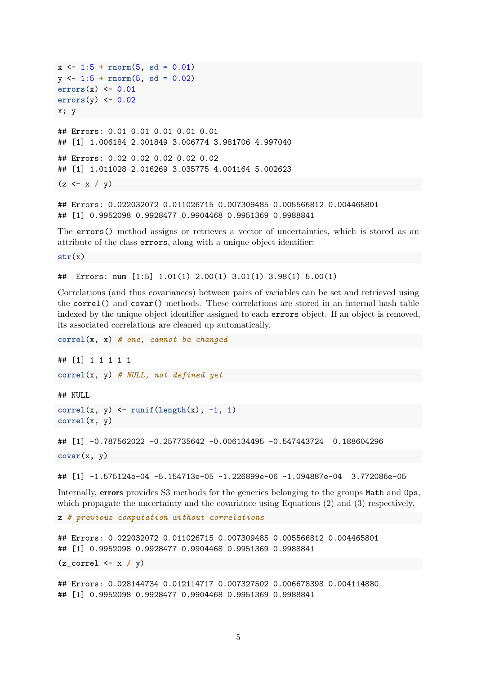```
x \leftarrow 1:5 + \text{rnorm}(5, \text{sd} = 0.01)y <- 1:5 + rnorm(5, sd = 0.02)
errors(x) <- 0.01
errors(y) <- 0.02
x; y
## Errors: 0.01 0.01 0.01 0.01 0.01
## [1] 1.006184 2.001849 3.006774 3.981706 4.997040
## Errors: 0.02 0.02 0.02 0.02 0.02
## [1] 1.011028 2.016269 3.035775 4.001164 5.002623
(z <- x / y)
## Errors: 0.022032072 0.011026715 0.007309485 0.005566812 0.004465801
```
The errors() method assigns or retrieves a vector of uncertainties, which is stored as an attribute of the class errors, along with a unique object identifier:

**str**(x)

## Errors: num [1:5] 1.01(1) 2.00(1) 3.01(1) 3.98(1) 5.00(1)

## [1] 0.9952098 0.9928477 0.9904468 0.9951369 0.9988841

Correlations (and thus covariances) between pairs of variables can be set and retrieved using the correl() and covar() methods. These correlations are stored in an internal hash table indexed by the unique object identifier assigned to each errors object. If an object is removed, its associated correlations are cleaned up automatically.

**correl**(x, x) *# one, cannot be changed* ## [1] 1 1 1 1 1 **correl**(x, y) *# NULL, not defined yet* ## NULL  $correl(x, y) \leftarrow runif(length(x), -1, 1)$ **correl**(x, y) ## [1] -0.787562022 -0.257735642 -0.006134495 -0.547443724 0.188604296 **covar**(x, y)

```
## [1] -1.575124e-04 -5.154713e-05 -1.226899e-06 -1.094887e-04 3.772086e-05
```
Internally, errors provides S3 methods for the generics belonging to the groups Math and Ops, which propagate the uncertainty and the covariance using Equations [\(2\)](#page-1-1) and [\(3\)](#page-2-1) respectively.

z *# previous computation without correlations*

```
## Errors: 0.022032072 0.011026715 0.007309485 0.005566812 0.004465801
## [1] 0.9952098 0.9928477 0.9904468 0.9951369 0.9988841
(z_correl <- x / y)
```
## Errors: 0.028144734 0.012114717 0.007327502 0.006678398 0.004114880 ## [1] 0.9952098 0.9928477 0.9904468 0.9951369 0.9988841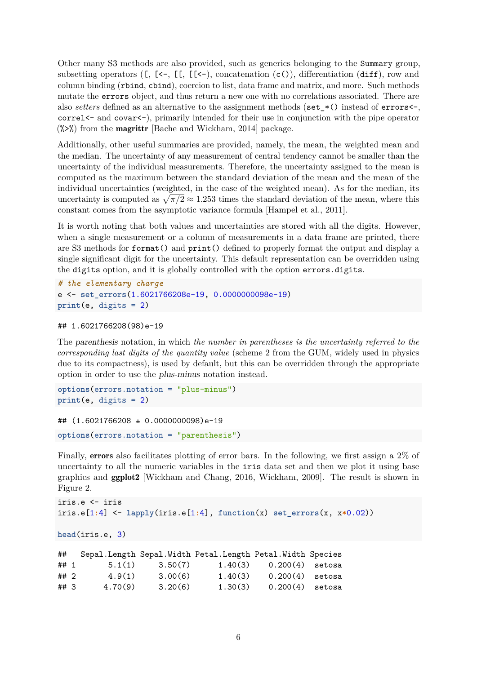Other many S3 methods are also provided, such as generics belonging to the Summary group, subsetting operators ( $[$ ,  $[$ <-,  $[$  $[$  $[$  $[$  $]$  $[$  $[$  $]$  $[$  $]$  $[$  $]$  $[$  $]$  $[$  $]$  $[$  $]$  $[$  $]$  $[$  $]$  $[$  $]$  $[$  $]$  $[$  $]$  $[$  $]$  $[$  $]$  $[$  $]$  $[$  $]$  $[$  $]$  $[$  $]$  $[$  $]$  $[$  $]$  $[$  $]$  $[$  $]$  $[$  $]$  $[$  $]$  $[$  $]$  $[$  $]$  $[$  $]$  $[$  $]$  $[$  $]$ column binding (rbind, cbind), coercion to list, data frame and matrix, and more. Such methods mutate the errors object, and thus return a new one with no correlations associated. There are also *setters* defined as an alternative to the assignment methods (set\_ $\ast$ () instead of errors<-, correl  $\leq$  and covar $\leq$ , primarily intended for their use in conjunction with the pipe operator  $(\frac{1}{2})$  from the **[magrittr](https://CRAN.R-project.org/package=magrittr)** [\[Bache and Wickham, 2014\]](#page-9-10) package.

Additionally, other useful summaries are provided, namely, the mean, the weighted mean and the median. The uncertainty of any measurement of central tendency cannot be smaller than the uncertainty of the individual measurements. Therefore, the uncertainty assigned to the mean is computed as the maximum between the standard deviation of the mean and the mean of the individual uncertainties (weighted, in the case of the weighted mean). As for the median, its uncertainty is computed as  $\sqrt{\pi/2} \approx 1.253$  times the standard deviation of the mean, where this constant comes from the asymptotic variance formula [\[Hampel et al., 2011\]](#page-9-11).

It is worth noting that both values and uncertainties are stored with all the digits. However, when a single measurement or a column of measurements in a data frame are printed, there are S3 methods for format() and print() defined to properly format the output and display a single significant digit for the uncertainty. This default representation can be overridden using the digits option, and it is globally controlled with the option errors.digits.

```
# the elementary charge
e <- set_errors(1.6021766208e-19, 0.0000000098e-19)
print(e, digits = 2)
```

```
## 1.6021766208(98)e-19
```
The parenthesis notation, in which *the number in parentheses is the uncertainty referred to the corresponding last digits of the quantity value* (scheme 2 from the GUM, widely used in physics due to its compactness), is used by default, but this can be overridden through the appropriate option in order to use the plus-minus notation instead.

```
options(errors.notation = "plus-minus")
print(e, digits = 2)
```

```
## (1.6021766208 ± 0.0000000098)e-19
```

```
options(errors.notation = "parenthesis")
```
Finally, errors also facilitates plotting of error bars. In the following, we first assign a 2% of uncertainty to all the numeric variables in the iris data set and then we plot it using base graphics and [ggplot2](https://CRAN.R-project.org/package=ggplot2) [\[Wickham and Chang, 2016,](#page-10-6) [Wickham, 2009\]](#page-10-7). The result is shown in Figure [2.](#page-6-0)

```
iris.e <- iris
iris.e[1:4] <- lapply(iris.e[1:4], function(x) set_errors(x, x*0.02))
```

```
head(iris.e, 3)
```

| ##   |         |         | Sepal.Length Sepal.Width Petal.Length Petal.Width Species |                   |  |
|------|---------|---------|-----------------------------------------------------------|-------------------|--|
| ##1  | 5.1(1)  | 3.50(7) | 1.40(3)                                                   | $0.200(4)$ setosa |  |
| ## 2 | 4.9(1)  | 3.00(6) | 1.40(3)                                                   | $0.200(4)$ setosa |  |
| ##3  | 4.70(9) | 3.20(6) | 1.30(3)                                                   | $0.200(4)$ setosa |  |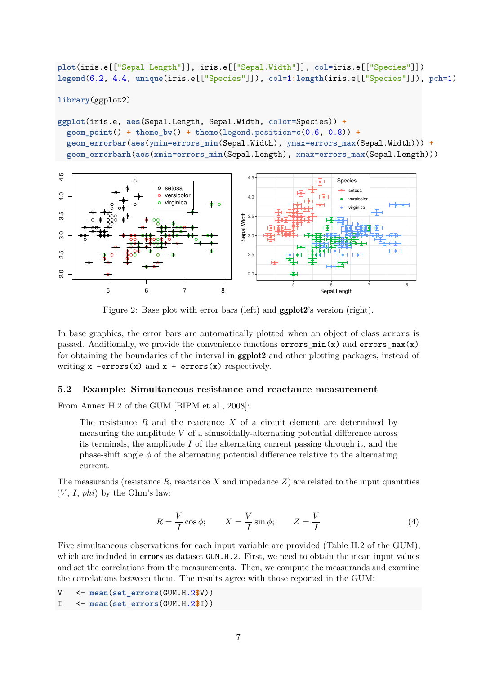**plot**(iris.e[["Sepal.Length"]], iris.e[["Sepal.Width"]], col=iris.e[["Species"]]) **legend**(6.2, 4.4, **unique**(iris.e[["Species"]]), col=1**:length**(iris.e[["Species"]]), pch=1)

**library**(ggplot2)

```
ggplot(iris.e, aes(Sepal.Length, Sepal.Width, color=Species)) +
  \phi geom_point() + theme_bw() + theme(legend.position=c(0.6, 0.8)) +
  geom_errorbar(aes(ymin=errors_min(Sepal.Width), ymax=errors_max(Sepal.Width))) +
  geom_errorbarh(aes(xmin=errors_min(Sepal.Length), xmax=errors_max(Sepal.Length)))
```
<span id="page-6-0"></span>

Figure 2: Base plot with error bars (left) and ggplot2's version (right).

In base graphics, the error bars are automatically plotted when an object of class errors is passed. Additionally, we provide the convenience functions  $\text{errors\_min}(x)$  and  $\text{errors\_max}(x)$ for obtaining the boundaries of the interval in ggplot2 and other plotting packages, instead of writing  $x$  -errors(x) and  $x$  + errors(x) respectively.

### **5.2 Example: Simultaneous resistance and reactance measurement**

From Annex H.2 of the GUM [\[BIPM et al., 2008\]](#page-9-1):

The resistance *R* and the reactance *X* of a circuit element are determined by measuring the amplitude *V* of a sinusoidally-alternating potential difference across its terminals, the amplitude *I* of the alternating current passing through it, and the phase-shift angle  $\phi$  of the alternating potential difference relative to the alternating current.

The measurands (resistance  $R$ , reactance  $X$  and impedance  $Z$ ) are related to the input quantities  $(V, I, phi)$  by the Ohm's law:

$$
R = \frac{V}{I}\cos\phi; \qquad X = \frac{V}{I}\sin\phi; \qquad Z = \frac{V}{I}
$$
 (4)

Five simultaneous observations for each input variable are provided (Table H.2 of the GUM), which are included in **errors** as dataset GUM.H.2. First, we need to obtain the mean input values and set the correlations from the measurements. Then, we compute the measurands and examine the correlations between them. The results agree with those reported in the GUM:

V <- **mean**(**set\_errors**(GUM.H.2**\$**V))

I <- **mean**(**set\_errors**(GUM.H.2**\$**I))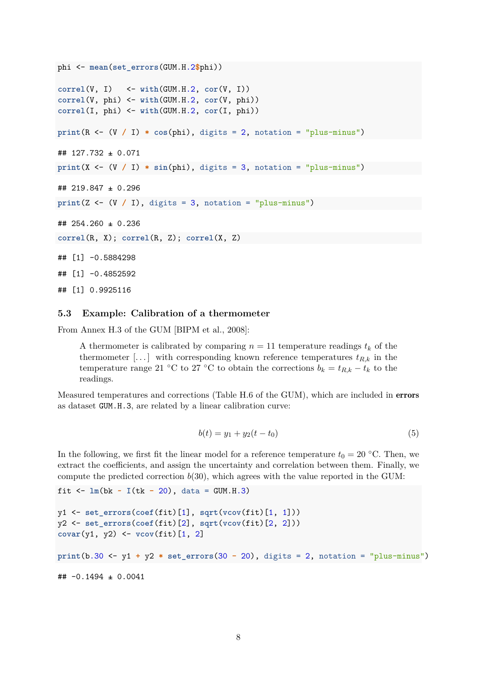```
phi <- mean(set_errors(GUM.H.2$phi))
correl(V, I) <- with(GUM.H.2, cor(V, I))
correl(V, phi) <- with(GUM.H.2, cor(V, phi))
correl(I, phi) <- with(GUM.H.2, cor(I, phi))
print(R \leftarrow (V / I) * cos(\phi), digits = 2, notation = "plus-minus")
## 127.732 ± 0.071
print(X \leftarrow (V / I) * sin(phi), digits = 3, notation = "plus-minus")## 219.847 ± 0.296
print(Z \leftarrow (V / I), digits = 3, notation = "plus-minus")
## 254.260 ± 0.236
correl(R, X); correl(R, Z); correl(X, Z)
## [1] -0.5884298
## [1] -0.4852592
```
## [1] 0.9925116

### **5.3 Example: Calibration of a thermometer**

From Annex H.3 of the GUM [\[BIPM et al., 2008\]](#page-9-1):

A thermometer is calibrated by comparing  $n = 11$  temperature readings  $t_k$  of the thermometer [...] with corresponding known reference temperatures  $t_{R,k}$  in the temperature range 21 °C to 27 °C to obtain the corrections  $b_k = t_{R,k} - t_k$  to the readings.

Measured temperatures and corrections (Table H.6 of the GUM), which are included in errors as dataset GUM.H.3, are related by a linear calibration curve:

$$
b(t) = y_1 + y_2(t - t_0)
$$
\n(5)

In the following, we first fit the linear model for a reference temperature  $t_0 = 20$  °C. Then, we extract the coefficients, and assign the uncertainty and correlation between them. Finally, we compute the predicted correction *b*(30), which agrees with the value reported in the GUM:

```
fit \leq - \ln(bk - 1(tk - 20)), data = GUM.H.3)
```

```
y1 <- set_errors(coef(fit)[1], sqrt(vcov(fit)[1, 1]))
y2 <- set_errors(coef(fit)[2], sqrt(vcov(fit)[2, 2]))
covar(y1, y2) <- vcov(fit)[1, 2]
```

```
print(b.30 <- y1 + y2 * set_errors(30 - 20), digits = 2, notation = "plus-minus")
```

```
## -0.1494 ± 0.0041
```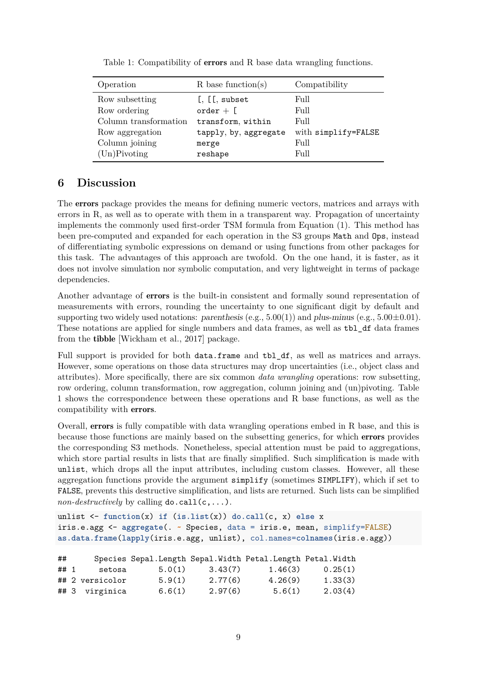<span id="page-8-0"></span>

| Operation             | $R$ base function(s)     | Compatibility       |
|-----------------------|--------------------------|---------------------|
| Row subsetting        | $[$ , $[$ [ $]$ , subset | Full                |
| Row ordering          | $order + [$              | Full                |
| Column transformation | transform, within        | Full                |
| Row aggregation       | tapply, by, aggregate    | with simplify=FALSE |
| Column joining        | merge                    | Full                |
| (Un)Pivoting          | reshape                  | Full                |

Table 1: Compatibility of **errors** and R base data wrangling functions.

# **6 Discussion**

The errors package provides the means for defining numeric vectors, matrices and arrays with errors in  $R$ , as well as to operate with them in a transparent way. Propagation of uncertainty implements the commonly used first-order TSM formula from Equation [\(1\)](#page-1-0). This method has been pre-computed and expanded for each operation in the S3 groups Math and Ops, instead of differentiating symbolic expressions on demand or using functions from other packages for this task. The advantages of this approach are twofold. On the one hand, it is faster, as it does not involve simulation nor symbolic computation, and very lightweight in terms of package dependencies.

Another advantage of errors is the built-in consistent and formally sound representation of measurements with errors, rounding the uncertainty to one significant digit by default and supporting two widely used notations: parenthesis (e.g.,  $5.00(1)$ ) and plus-minus (e.g.,  $5.00\pm0.01$ ). These notations are applied for single numbers and data frames, as well as tbl\_df data frames from the [tibble](https://CRAN.R-project.org/package=tibble) [\[Wickham et al., 2017\]](#page-10-8) package.

Full support is provided for both data.frame and tbl\_df, as well as matrices and arrays. However, some operations on those data structures may drop uncertainties (i.e., object class and attributes). More specifically, there are six common *data wrangling* operations: row subsetting, row ordering, column transformation, row aggregation, column joining and (un)pivoting. Table [1](#page-8-0) shows the correspondence between these operations and R base functions, as well as the compatibility with errors.

Overall, errors is fully compatible with data wrangling operations embed in R base, and this is because those functions are mainly based on the subsetting generics, for which errors provides the corresponding S3 methods. Nonetheless, special attention must be paid to aggregations, which store partial results in lists that are finally simplified. Such simplification is made with unlist, which drops all the input attributes, including custom classes. However, all these aggregation functions provide the argument simplify (sometimes SIMPLIFY), which if set to FALSE, prevents this destructive simplification, and lists are returned. Such lists can be simplified *non-destructively* by calling  $\phi$ .call $(c, \ldots)$ .

```
unlist <- function(x) if (is.list(x)) do.call(c, x) else x
iris.e.agg <- aggregate(. ~ Species, data = iris.e, mean, simplify=FALSE)
as.data.frame(lapply(iris.e.agg, unlist), col.names=colnames(iris.e.agg))
```

| ##  |                 | Species Sepal.Length Sepal.Width Petal.Length Petal.Width |         |         |         |
|-----|-----------------|-----------------------------------------------------------|---------|---------|---------|
| ##1 | setosa          | 5.0(1)                                                    | 3.43(7) | 1.46(3) | 0.25(1) |
|     | ## 2 versicolor | 5.9(1)                                                    | 2.77(6) | 4.26(9) | 1.33(3) |
|     | ## 3 virginica  | 6.6(1)                                                    | 2.97(6) | 5.6(1)  | 2.03(4) |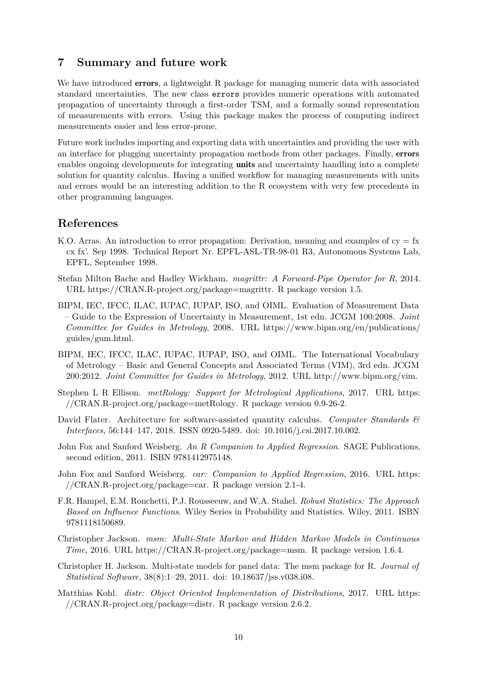# **7 Summary and future work**

We have introduced **errors**, a lightweight R package for managing numeric data with associated standard uncertainties. The new class errors provides numeric operations with automated propagation of uncertainty through a first-order TSM, and a formally sound representation of measurements with errors. Using this package makes the process of computing indirect measurements easier and less error-prone.

Future work includes importing and exporting data with uncertainties and providing the user with an interface for plugging uncertainty propagation methods from other packages. Finally, errors enables ongoing developments for integrating **units** and uncertainty handling into a complete solution for quantity calculus. Having a unified workflow for managing measurements with units and errors would be an interesting addition to the R ecosystem with very few precedents in other programming languages.

## **References**

- <span id="page-9-3"></span>K.O. Arras. An introduction to error propagation: Derivation, meaning and examples of  $cy = fx$ cx fx'. Sep 1998. Technical Report Nr. EPFL-ASL-TR-98-01 R3, Autonomous Systems Lab, EPFL, September 1998.
- <span id="page-9-10"></span>Stefan Milton Bache and Hadley Wickham. *magrittr: A Forward-Pipe Operator for R*, 2014. URL [https://CRAN.R-project.org/package=magrittr.](https://CRAN.R-project.org/package=magrittr) R package version 1.5.
- <span id="page-9-1"></span>BIPM, IEC, IFCC, ILAC, IUPAC, IUPAP, ISO, and OIML. Evaluation of Measurement Data – Guide to the Expression of Uncertainty in Measurement, 1st edn. JCGM 100:2008. *Joint Committee for Guides in Metrology*, 2008. URL [https://www.bipm.org/en/publications/](https://www.bipm.org/en/publications/guides/gum.html) [guides/gum.html.](https://www.bipm.org/en/publications/guides/gum.html)
- <span id="page-9-0"></span>BIPM, IEC, IFCC, ILAC, IUPAC, IUPAP, ISO, and OIML. The International Vocabulary of Metrology – Basic and General Concepts and Associated Terms (VIM), 3rd edn. JCGM 200:2012. *Joint Committee for Guides in Metrology*, 2012. URL [http://www.bipm.org/vim.](http://www.bipm.org/vim)
- <span id="page-9-8"></span>Stephen L R Ellison. *metRology: Support for Metrological Applications*, 2017. URL [https:](https://CRAN.R-project.org/package=metRology) [//CRAN.R-project.org/package=metRology.](https://CRAN.R-project.org/package=metRology) R package version 0.9-26-2.
- <span id="page-9-2"></span>David Flater. Architecture for software-assisted quantity calculus. *Computer Standards & Interfaces*, 56:144–147, 2018. ISSN 0920-5489. doi: 10.1016/j.csi.2017.10.002.
- <span id="page-9-5"></span>John Fox and Sanford Weisberg. *An R Companion to Applied Regression*. SAGE Publications, second edition, 2011. ISBN 9781412975148.
- <span id="page-9-4"></span>John Fox and Sanford Weisberg. *car: Companion to Applied Regression*, 2016. URL [https:](https://CRAN.R-project.org/package=car) [//CRAN.R-project.org/package=car.](https://CRAN.R-project.org/package=car) R package version 2.1-4.
- <span id="page-9-11"></span>F.R. Hampel, E.M. Ronchetti, P.J. Rousseeuw, and W.A. Stahel. *Robust Statistics: The Approach Based on Influence Functions*. Wiley Series in Probability and Statistics. Wiley, 2011. ISBN 9781118150689.
- <span id="page-9-6"></span>Christopher Jackson. *msm: Multi-State Markov and Hidden Markov Models in Continuous Time*, 2016. URL [https://CRAN.R-project.org/package=msm.](https://CRAN.R-project.org/package=msm) R package version 1.6.4.
- <span id="page-9-7"></span>Christopher H. Jackson. Multi-state models for panel data: The msm package for R. *Journal of Statistical Software*, 38(8):1–29, 2011. doi: 10.18637/jss.v038.i08.
- <span id="page-9-9"></span>Matthias Kohl. *distr: Object Oriented Implementation of Distributions*, 2017. URL [https:](https://CRAN.R-project.org/package=distr) [//CRAN.R-project.org/package=distr.](https://CRAN.R-project.org/package=distr) R package version 2.6.2.